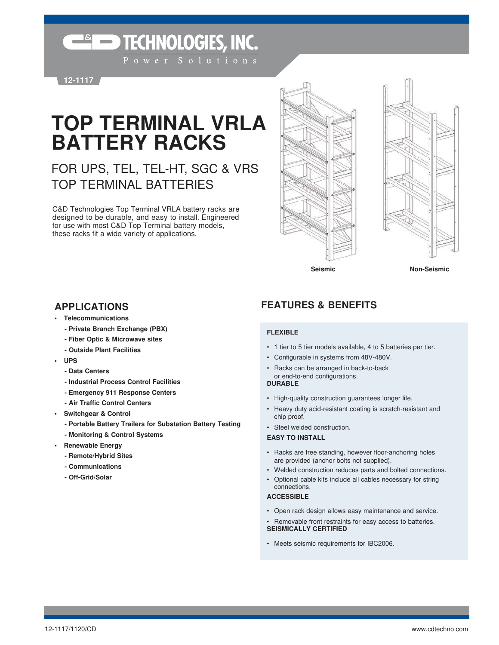**ESECHNOLOGIES, INC.** 

**12-1117**

# **TOP TERMINAL VRLA BATTERY RACKS**

## FOR UPS, TEL, TEL-HT, SGC & VRS TOP TERMINAL BATTERIES

C&D Technologies Top Terminal VRLA battery racks are designed to be durable, and easy to install. Engineered for use with most C&D Top Terminal battery models, these racks fit a wide variety of applications.

- **Telecommunications**
	- **Private Branch Exchange (PBX)**
	- **Fiber Optic & Microwave sites**
	- **Outside Plant Facilities**
- **UPS**
	- **Data Centers**
	- **Industrial Process Control Facilities**
	- **Emergency 911 Response Centers**
	- **Air Traffic Control Centers**
- **Switchgear & Control**
	- **Portable Battery Trailers for Substation Battery Testing**
	- **Monitoring & Control Systems**
- **Renewable Energy**
	- **Remote/Hybrid Sites**
	- **Communications**
	- **Off-Grid/Solar**

### **APPLICATIONS FEATURES & BENEFITS**

#### **FLEXIBLE**

- 1 tier to 5 tier models available, 4 to 5 batteries per tier.
- Configurable in systems from 48V-480V.
- Racks can be arranged in back-to-back

#### or end-to-end configurations. **DURABLE**

- High-quality construction guarantees longer life.
- Heavy duty acid-resistant coating is scratch-resistant and chip proof.
- Steel welded construction.

#### **EASY TO INSTALL**

- Racks are free standing, however floor-anchoring holes are provided (anchor bolts not supplied).
- Welded construction reduces parts and bolted connections.
- Optional cable kits include all cables necessary for string connections.

#### **ACCESSIBLE**

- Open rack design allows easy maintenance and service.
- Removable front restraints for easy access to batteries. **SEISMICALLY CERTIFIED**
- Meets seismic requirements for IBC2006.